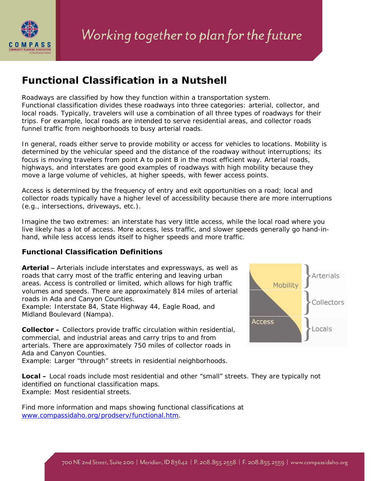

## **Functional Classification in a Nutshell**

Roadways are classified by how they function within a transportation system. Functional classification divides these roadways into three categories: arterial, collector, and local roads. Typically, travelers will use a combination of all three types of roadways for their trips. For example, local roads are intended to serve residential areas, and collector roads funnel traffic from neighborhoods to busy arterial roads.

In general, roads either serve to provide mobility or access for vehicles to locations. Mobility is determined by the vehicular speed and the distance of the roadway without interruptions; its focus is moving travelers from point A to point B in the most efficient way. Arterial roads, highways, and interstates are good examples of roadways with high mobility because they move a large volume of vehicles, at higher speeds, with fewer access points.

Access is determined by the frequency of entry and exit opportunities on a road; local and collector roads typically have a higher level of accessibility because there are more interruptions (e.g., intersections, driveways, etc.).

Imagine the two extremes: an interstate has very little access, while the local road where you live likely has a lot of access. More access, less traffic, and slower speeds generally go hand-inhand, while less access lends itself to higher speeds and more traffic.

## **Functional Classification Definitions**

**Arterial** − Arterials include interstates and expressways, as well as roads that carry most of the traffic entering and leaving urban areas. Access is controlled or limited, which allows for high traffic volumes and speeds. There are approximately 814 miles of arterial roads in Ada and Canyon Counties.

Example: Interstate 84, State Highway 44, Eagle Road, and Midland Boulevard (Nampa).

**Collector –** Collectors provide traffic circulation within residential, commercial, and industrial areas and carry trips to and from arterials. There are approximately 750 miles of collector roads in Ada and Canyon Counties.

Example: Larger "through" streets in residential neighborhoods.

**Arterials** Mobility **Collectors Access** \_ocals

**Local –** Local roads include most residential and other "small" streets. They are typically not identified on functional classification maps. Example: Most residential streets.

Find more information and maps showing functional classifications at [www.compassidaho.org/prodserv/functional.htm.](http://www.compassidaho.org/prodserv/functional.htm)